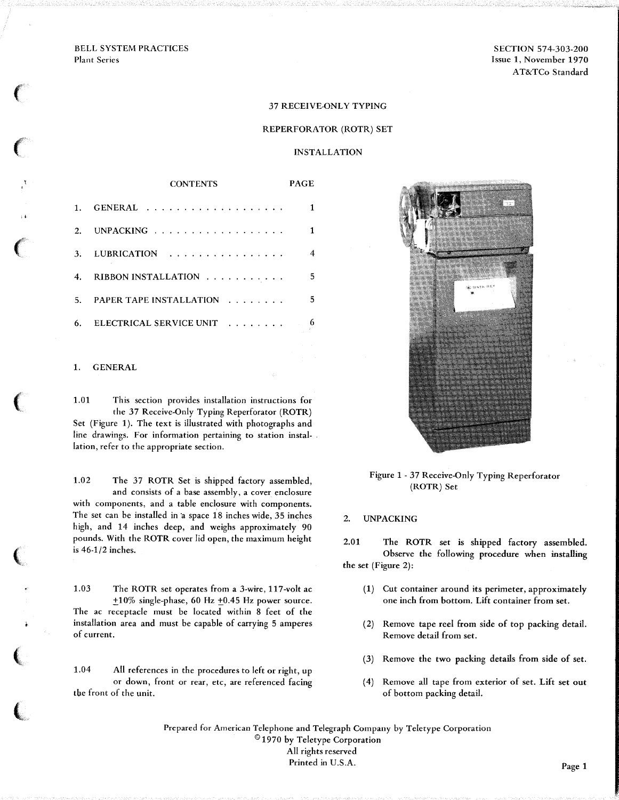BELL SYSTEM PRACTICES Plant Series

*(* 

 $\int_0^\infty$ 

..

*(* 

 $\left($ 

 $\big($ 

 $\big($ 

*t* **'** 

SECTION 574-303-200 Issue 1, November 1970 AT&TCo Standard

#### 37 RECEIVE-ONLY TYPING

#### REPERFORATOR (ROTR) SET

INSTALLATION

|    | <b>CONTENTS</b>                                    | PAGE |
|----|----------------------------------------------------|------|
|    |                                                    |      |
| 2. | UNPACKING $\ldots$ , , , , , , , , , , , , , , , , |      |
| 3. | <b>LUBRICATION</b><br>.                            | 4    |
| 4. | RIBBON INSTALLATION                                | 5.   |
| 5. | <b>PAPER TAPE INSTALLATION</b><br><u>.</u>         | 5.   |
| 6. | ELECTRICAL SERVICE UNIT<br>.                       |      |

#### 1. GENERAL

1.01 This section provides installation instructions for the 37 Receive-Only Typing Reperforator (ROTR) Set (Figure 1). The text is illustrated with photographs and line drawings. For information pertaining to station installation, refer to the appropriate section.

1.02 The 37 ROTR Set is shipped factory assembled, and consists of a base assembly, a cover enclosure with components, and a table enclosure with components. The set can be installed in a space 18 inches wide, 35 inches high, and 14 inches deep, and weighs approximately 90 pounds. With the ROTR cover lid open, the maximum height is 46-1/2 inches.

1.03 The ROTR set operates from a 3-wire, 117-volt ac  $+10\%$  single-phase, 60 Hz  $+0.45$  Hz power source. The ac receptacle must be located within 8 feet of the installation area and must be capable of carrying 5 amperes of current.

1.04 All references in the procedures to left or right, up or down, front or rear, etc, are referenced facing the front of the unit.



Figure 1- 37 Receive-Only Typing Reperforator (ROTR) Set

2. UNPACKING

2.01 The ROTR set is shipped factory assembled. Observe the following procedure when installing the set (Figure 2):

- (1) Cut container around its perimeter, approximately one inch from bottom. Lift container from set.
- ( 2) Remove tape reel from side of top packing detail. Remove detail from set.
- (3) Remove the two packing details from side of set.
- ( 4) Remove all tape from exterior of set. Lift set out of bottom packing detail.

Prepared for American Telephone and Telegraph Company by Teletype Corporation © 1970 by Teletype Corporation All rights reserved Printed in U.S.A. Page 1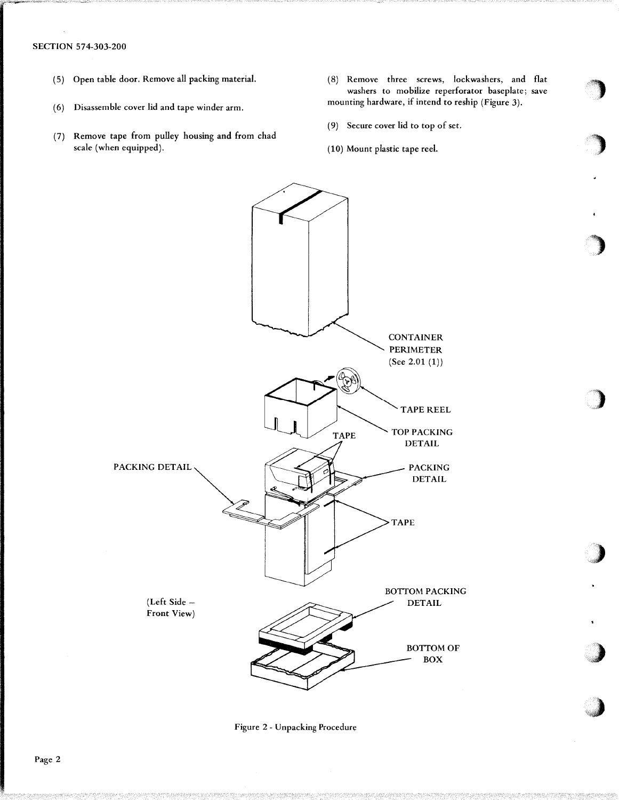## SECTION 574-303-200

- ( 5) Open table door. Remove all packing material.
- (6) Disassemble cover lid and tape winder arm.
- (7) Remove tape from pulley housing and from chad scale (when equipped).
- ( 8) Remove three screws, lockwashers, and flat washers to mobilize reperforator baseplate; save mounting hardware, if intend to reship (Figure 3).

')

")

)

')

)·,

)

**J** 

- (9) Secure cover lid to top of set.
- (10) Mount plastic tape reel.



Figure 2 - Unpacking Procedure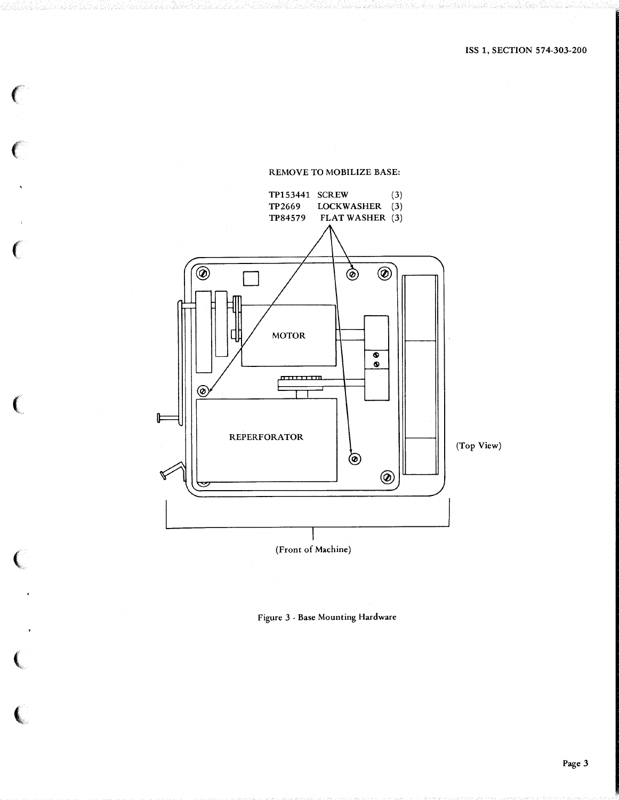

#### REMOVE TO MOBILIZE BASE:

 $\epsilon$ 

 $\epsilon$ 

 $\left($ 

 $\left($ 

 $\big($ 

 $\left($ 

l

Figure 3 - Base Mounting Hardware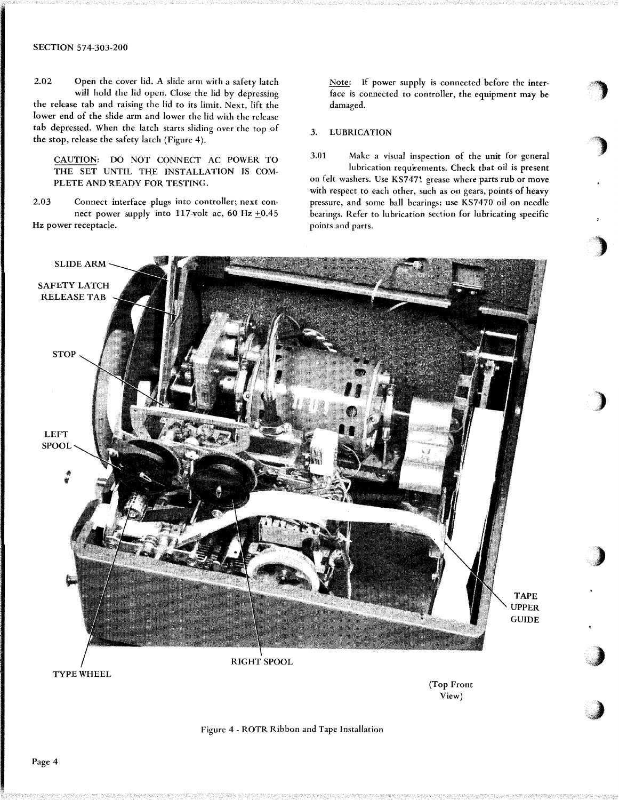## SECTION 574-303-200

2.02 Open the cover lid. A slide arm with a safety latch will hold the lid open. Close the lid by depressing the release tab and raising the lid to its limit. Next, lift the lower end of the slide arm and lower the lid with the release tab depressed. When the latch starts sliding over the top of the stop, release the safety latch (Figure 4 ).

CAUTION: DO NOT CONNECT AC POWER TO THE SET UNTIL THE INSTALLATION IS COM-PLETE AND READY FOR TESTING.

2.03 Connect interface plugs into controller; next connect power supply into 117-volt ac, 60 Hz  $\pm 0.45$ Hz power receptacle.

Note: If power supply is connected before the interface is connected to controller, the equipment may be damaged.

 $\cdot$   $\cdot$   $\cdot$  $\rightarrow$ 

)

)

)

.)

'

,J

### 3. LUBRICATION

3.01 Make a visual inspection of the unit for general lubrication requirements. Check that oil is present on felt washers. Use KS7471 grease where parts rub or move with respect to each other, such as on gears, points of heavy pressure, and some ball bearings; use KS7470 oil on needle bearings. Refer to lubrication section for lubricating specific points and parts.

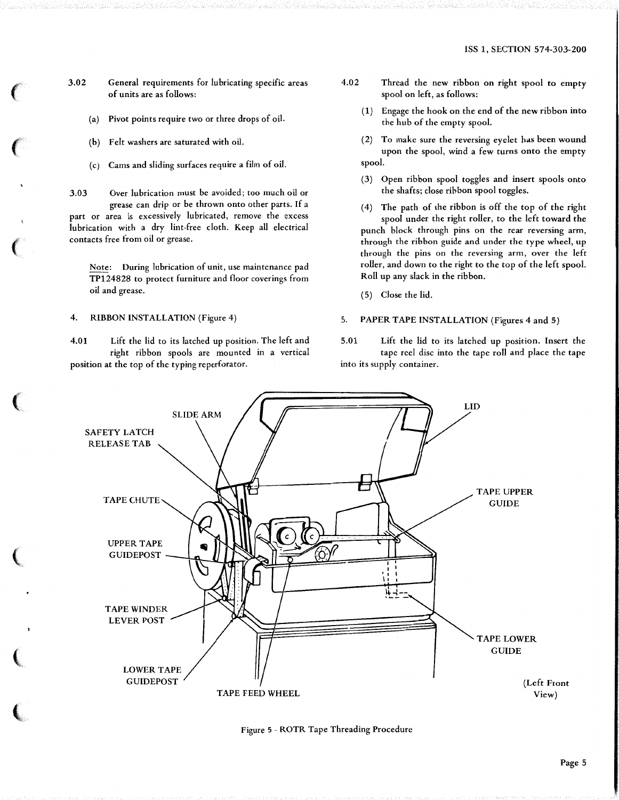$\left($ 

 $\left($ 

 $\left($ 

 $\left($ 

 $\left($ 

(

l

3.02 General requirements for lubricating specific areas of units are as follows:

- (a) Pivot points require two or three drops of oil.
- (b) Felt washers are saturated with oil.
- Cams and sliding surfaces require a film of oil.

3.03 Over lubrication must be avoided; too much oil or grease can drip or be thrown onto other parts. If a part or area is excessively lubricated, remove the excess lubrication with a dry lint-free cloth. Keep all electrical contacts free from oil or grease.

Note: During lubrication of unit, use maintenance pad TP124828 to protect furniture and floor coverings from oil and grease.

4. RIBBON INSTALLATION (Figure 4)

4.01 Lift the lid to its latched up position. The left and right ribbon spools are mounted in a vertical position at the top of the typing reperforator.

- 4.02 Thread the new ribbon on right spool to empty spool on left, as follows:
	- ( 1) Engage the hook on the end of the new ribbon into the hub of the empty spool.
	- (2) To make sure the reversing eyelet has been wound upon the spool, wind a few turns onto the empty spool.
	- (3) Open ribbon spool toggles and insert spools onto the shafts; close ribbon spool toggles.

( 4) The path of the ribbon is off the top of the right spool under the right roller, to the left toward the punch block through pins on the rear reversing arm, through the ribbon guide and under the type wheel, up through the pins on the reversing arm, over the left roller, and down to the right to the top of the left spool. Roll up any slack in the ribbon.

( 5) Close the lid.

## 5. PAPER TAPE INSTALLATION (Figures 4 and 5)

5.01 Lift the lid to its latched up position. Insert the tape reel disc into the tape roll and place the tape into its supply container.



Figure 5 - ROTR Tape Threading Procedure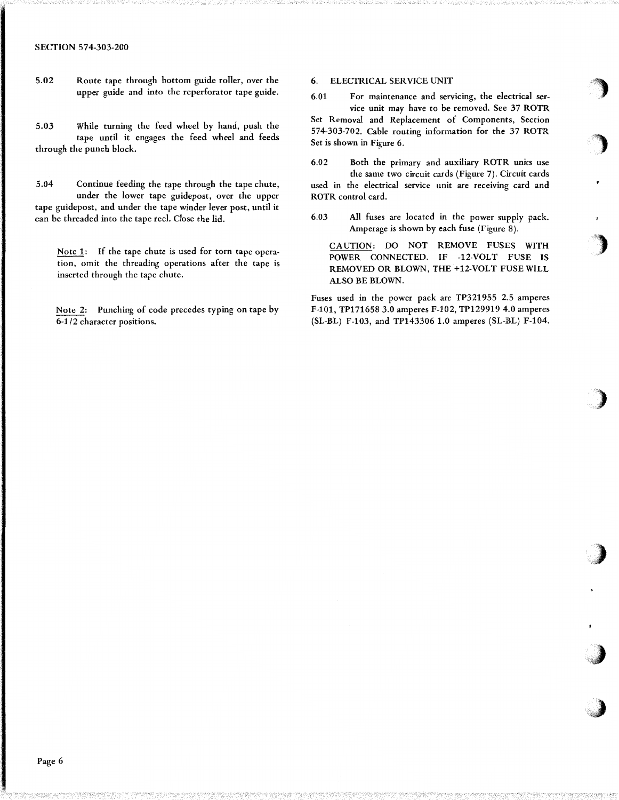#### SECTION 574-303-200

5.02 Route tape through bottom guide roller, over the upper guide and into the reperforator tape guide.

5.03 While turning the feed wheel by hand, push the tape until it engages the feed wheel and feeds through the punch block.

5.04 Continue feeding the tape through the tape chute, under the lower tape guidepost, over the upper tape guidepost, and under the tape winder lever post, until it can be threaded into the tape reel. Close the lid.

Note 1: If the tape chute is used for torn tape operation, omit the threading operations after the tape is inserted through the tape chute.

Note 2: Punching of code precedes typing on tape by 6-1/2 character positions.

#### 6. ELECTRICAL SERVICE UNIT

6.01 For maintenance and servicing, the electrical service unit may have to be removed. See 37 ROTR

')

 $\cdot$ 

'')

)

)

*,)* 

;,J

Set Removal and Replacement of Components, Section 574-303-702. Cable routing information for the 37 ROTR Set is shown in Figure 6.

6.02 Both the primary and auxiliary ROTR units use the same two circuit cards (Figure 7). Circuit cards used in the electrical service unit are receiving card and ROTR control card.

6.03 All fuses are located in the power supply pack. Amperage is shown by each fuse (Figure 8).

CAUTION: DO NOT REMOVE FUSES WITH POWER CONNECTED. IF -12-VOLT FUSE IS REMOVED OR BLOWN, THE +12-VOLT FUSE WILL ALSO BE BLOWN.

Fuses used in the power pack are TP321955 2.5 amperes F-101, TP171658 3.0 amperes F-102, TP129919 4.0 amperes (SL-BL) F-103, and TP143306 1.0 amperes (SL-BL) F-104.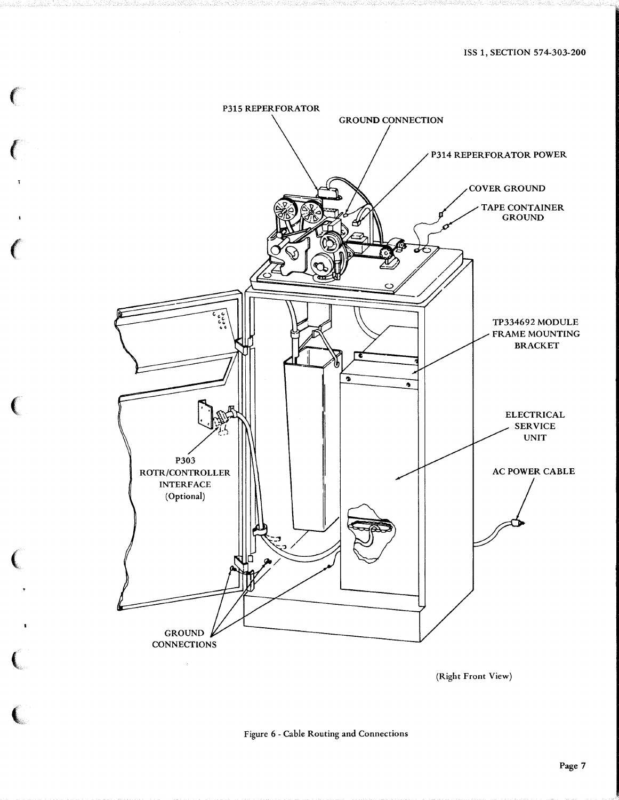

 $\epsilon$ 

(

 $\epsilon$ 

 $\epsilon$ 

 $\big($ 

(

(.

(Right Front View)

# Figure 6 - Cable Routing and Connections